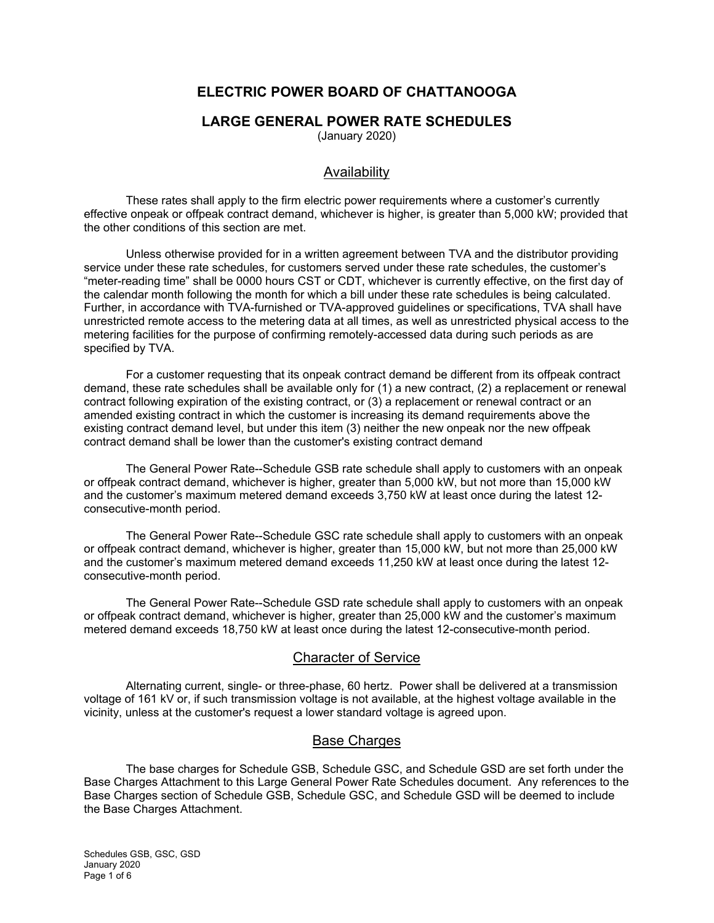# **ELECTRIC POWER BOARD OF CHATTANOOGA**

#### **LARGE GENERAL POWER RATE SCHEDULES**

(January 2020)

#### Availability

These rates shall apply to the firm electric power requirements where a customer's currently effective onpeak or offpeak contract demand, whichever is higher, is greater than 5,000 kW; provided that the other conditions of this section are met.

Unless otherwise provided for in a written agreement between TVA and the distributor providing service under these rate schedules, for customers served under these rate schedules, the customer's "meter-reading time" shall be 0000 hours CST or CDT, whichever is currently effective, on the first day of the calendar month following the month for which a bill under these rate schedules is being calculated. Further, in accordance with TVA-furnished or TVA-approved guidelines or specifications, TVA shall have unrestricted remote access to the metering data at all times, as well as unrestricted physical access to the metering facilities for the purpose of confirming remotely-accessed data during such periods as are specified by TVA.

For a customer requesting that its onpeak contract demand be different from its offpeak contract demand, these rate schedules shall be available only for (1) a new contract, (2) a replacement or renewal contract following expiration of the existing contract, or (3) a replacement or renewal contract or an amended existing contract in which the customer is increasing its demand requirements above the existing contract demand level, but under this item (3) neither the new onpeak nor the new offpeak contract demand shall be lower than the customer's existing contract demand

The General Power Rate--Schedule GSB rate schedule shall apply to customers with an onpeak or offpeak contract demand, whichever is higher, greater than 5,000 kW, but not more than 15,000 kW and the customer's maximum metered demand exceeds 3,750 kW at least once during the latest 12 consecutive-month period.

The General Power Rate--Schedule GSC rate schedule shall apply to customers with an onpeak or offpeak contract demand, whichever is higher, greater than 15,000 kW, but not more than 25,000 kW and the customer's maximum metered demand exceeds 11,250 kW at least once during the latest 12 consecutive-month period.

The General Power Rate--Schedule GSD rate schedule shall apply to customers with an onpeak or offpeak contract demand, whichever is higher, greater than 25,000 kW and the customer's maximum metered demand exceeds 18,750 kW at least once during the latest 12-consecutive-month period.

#### Character of Service

Alternating current, single- or three-phase, 60 hertz. Power shall be delivered at a transmission voltage of 161 kV or, if such transmission voltage is not available, at the highest voltage available in the vicinity, unless at the customer's request a lower standard voltage is agreed upon.

#### **Base Charges**

The base charges for Schedule GSB, Schedule GSC, and Schedule GSD are set forth under the Base Charges Attachment to this Large General Power Rate Schedules document. Any references to the Base Charges section of Schedule GSB, Schedule GSC, and Schedule GSD will be deemed to include the Base Charges Attachment.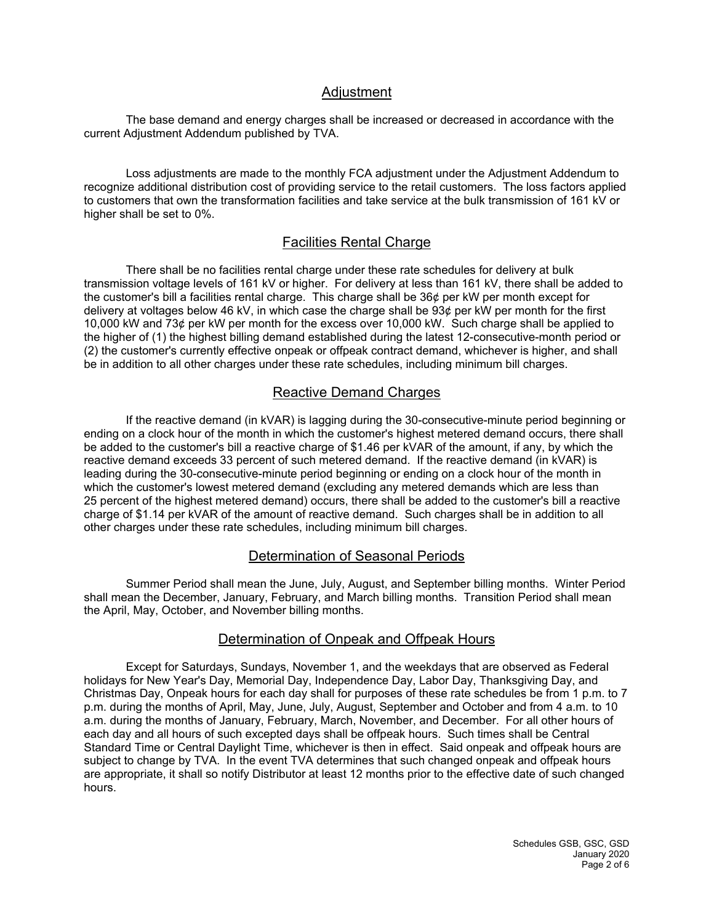## **Adjustment**

The base demand and energy charges shall be increased or decreased in accordance with the current Adjustment Addendum published by TVA.

Loss adjustments are made to the monthly FCA adjustment under the Adjustment Addendum to recognize additional distribution cost of providing service to the retail customers. The loss factors applied to customers that own the transformation facilities and take service at the bulk transmission of 161 kV or higher shall be set to 0%.

## Facilities Rental Charge

There shall be no facilities rental charge under these rate schedules for delivery at bulk transmission voltage levels of 161 kV or higher. For delivery at less than 161 kV, there shall be added to the customer's bill a facilities rental charge. This charge shall be 36¢ per kW per month except for delivery at voltages below 46 kV, in which case the charge shall be 93¢ per kW per month for the first 10,000 kW and 73¢ per kW per month for the excess over 10,000 kW. Such charge shall be applied to the higher of (1) the highest billing demand established during the latest 12-consecutive-month period or (2) the customer's currently effective onpeak or offpeak contract demand, whichever is higher, and shall be in addition to all other charges under these rate schedules, including minimum bill charges.

## Reactive Demand Charges

If the reactive demand (in kVAR) is lagging during the 30-consecutive-minute period beginning or ending on a clock hour of the month in which the customer's highest metered demand occurs, there shall be added to the customer's bill a reactive charge of \$1.46 per kVAR of the amount, if any, by which the reactive demand exceeds 33 percent of such metered demand. If the reactive demand (in kVAR) is leading during the 30-consecutive-minute period beginning or ending on a clock hour of the month in which the customer's lowest metered demand (excluding any metered demands which are less than 25 percent of the highest metered demand) occurs, there shall be added to the customer's bill a reactive charge of \$1.14 per kVAR of the amount of reactive demand. Such charges shall be in addition to all other charges under these rate schedules, including minimum bill charges.

#### Determination of Seasonal Periods

Summer Period shall mean the June, July, August, and September billing months. Winter Period shall mean the December, January, February, and March billing months. Transition Period shall mean the April, May, October, and November billing months.

# Determination of Onpeak and Offpeak Hours

Except for Saturdays, Sundays, November 1, and the weekdays that are observed as Federal holidays for New Year's Day, Memorial Day, Independence Day, Labor Day, Thanksgiving Day, and Christmas Day, Onpeak hours for each day shall for purposes of these rate schedules be from 1 p.m. to 7 p.m. during the months of April, May, June, July, August, September and October and from 4 a.m. to 10 a.m. during the months of January, February, March, November, and December. For all other hours of each day and all hours of such excepted days shall be offpeak hours. Such times shall be Central Standard Time or Central Daylight Time, whichever is then in effect. Said onpeak and offpeak hours are subject to change by TVA. In the event TVA determines that such changed onpeak and offpeak hours are appropriate, it shall so notify Distributor at least 12 months prior to the effective date of such changed hours.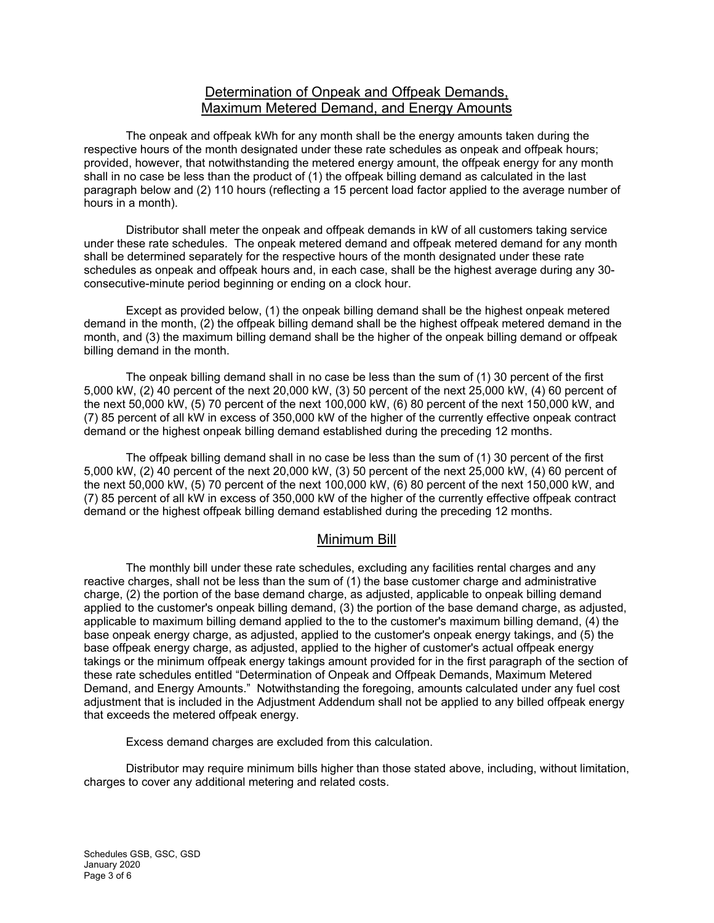## Determination of Onpeak and Offpeak Demands, Maximum Metered Demand, and Energy Amounts

The onpeak and offpeak kWh for any month shall be the energy amounts taken during the respective hours of the month designated under these rate schedules as onpeak and offpeak hours; provided, however, that notwithstanding the metered energy amount, the offpeak energy for any month shall in no case be less than the product of (1) the offpeak billing demand as calculated in the last paragraph below and (2) 110 hours (reflecting a 15 percent load factor applied to the average number of hours in a month).

Distributor shall meter the onpeak and offpeak demands in kW of all customers taking service under these rate schedules. The onpeak metered demand and offpeak metered demand for any month shall be determined separately for the respective hours of the month designated under these rate schedules as onpeak and offpeak hours and, in each case, shall be the highest average during any 30 consecutive-minute period beginning or ending on a clock hour.

Except as provided below, (1) the onpeak billing demand shall be the highest onpeak metered demand in the month, (2) the offpeak billing demand shall be the highest offpeak metered demand in the month, and (3) the maximum billing demand shall be the higher of the onpeak billing demand or offpeak billing demand in the month.

The onpeak billing demand shall in no case be less than the sum of (1) 30 percent of the first 5,000 kW, (2) 40 percent of the next 20,000 kW, (3) 50 percent of the next 25,000 kW, (4) 60 percent of the next 50,000 kW, (5) 70 percent of the next 100,000 kW, (6) 80 percent of the next 150,000 kW, and (7) 85 percent of all kW in excess of 350,000 kW of the higher of the currently effective onpeak contract demand or the highest onpeak billing demand established during the preceding 12 months.

The offpeak billing demand shall in no case be less than the sum of (1) 30 percent of the first 5,000 kW, (2) 40 percent of the next 20,000 kW, (3) 50 percent of the next 25,000 kW, (4) 60 percent of the next 50,000 kW, (5) 70 percent of the next 100,000 kW, (6) 80 percent of the next 150,000 kW, and (7) 85 percent of all kW in excess of 350,000 kW of the higher of the currently effective offpeak contract demand or the highest offpeak billing demand established during the preceding 12 months.

#### Minimum Bill

The monthly bill under these rate schedules, excluding any facilities rental charges and any reactive charges, shall not be less than the sum of (1) the base customer charge and administrative charge, (2) the portion of the base demand charge, as adjusted, applicable to onpeak billing demand applied to the customer's onpeak billing demand, (3) the portion of the base demand charge, as adjusted, applicable to maximum billing demand applied to the to the customer's maximum billing demand, (4) the base onpeak energy charge, as adjusted, applied to the customer's onpeak energy takings, and (5) the base offpeak energy charge, as adjusted, applied to the higher of customer's actual offpeak energy takings or the minimum offpeak energy takings amount provided for in the first paragraph of the section of these rate schedules entitled "Determination of Onpeak and Offpeak Demands, Maximum Metered Demand, and Energy Amounts." Notwithstanding the foregoing, amounts calculated under any fuel cost adjustment that is included in the Adjustment Addendum shall not be applied to any billed offpeak energy that exceeds the metered offpeak energy.

Excess demand charges are excluded from this calculation.

Distributor may require minimum bills higher than those stated above, including, without limitation, charges to cover any additional metering and related costs.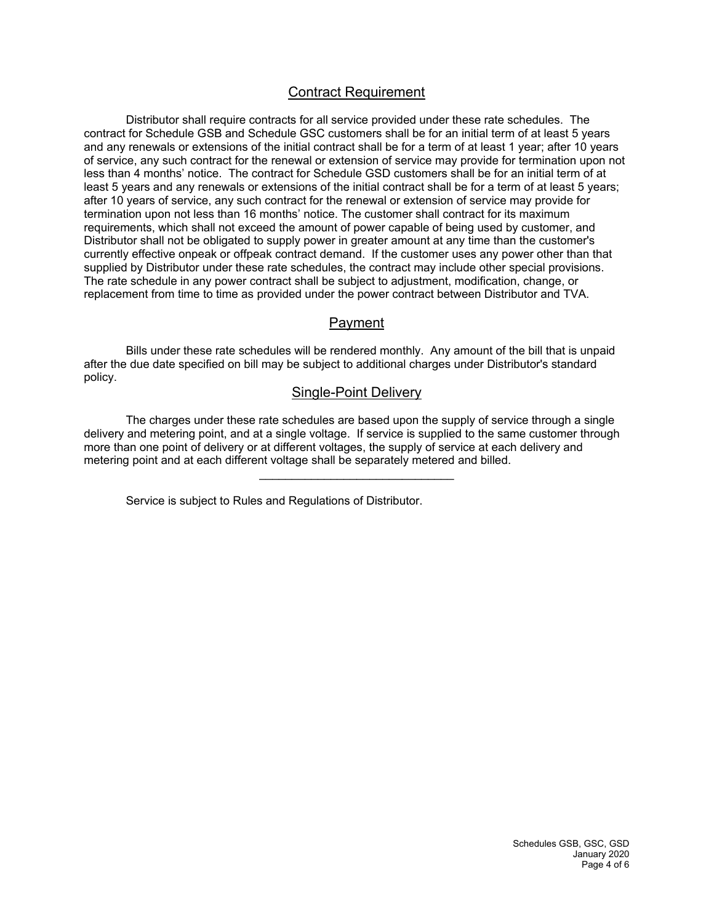## Contract Requirement

Distributor shall require contracts for all service provided under these rate schedules. The contract for Schedule GSB and Schedule GSC customers shall be for an initial term of at least 5 years and any renewals or extensions of the initial contract shall be for a term of at least 1 year; after 10 years of service, any such contract for the renewal or extension of service may provide for termination upon not less than 4 months' notice. The contract for Schedule GSD customers shall be for an initial term of at least 5 years and any renewals or extensions of the initial contract shall be for a term of at least 5 years; after 10 years of service, any such contract for the renewal or extension of service may provide for termination upon not less than 16 months' notice. The customer shall contract for its maximum requirements, which shall not exceed the amount of power capable of being used by customer, and Distributor shall not be obligated to supply power in greater amount at any time than the customer's currently effective onpeak or offpeak contract demand. If the customer uses any power other than that supplied by Distributor under these rate schedules, the contract may include other special provisions. The rate schedule in any power contract shall be subject to adjustment, modification, change, or replacement from time to time as provided under the power contract between Distributor and TVA.

#### Payment

Bills under these rate schedules will be rendered monthly. Any amount of the bill that is unpaid after the due date specified on bill may be subject to additional charges under Distributor's standard policy.

#### Single-Point Delivery

The charges under these rate schedules are based upon the supply of service through a single delivery and metering point, and at a single voltage. If service is supplied to the same customer through more than one point of delivery or at different voltages, the supply of service at each delivery and metering point and at each different voltage shall be separately metered and billed.

Service is subject to Rules and Regulations of Distributor.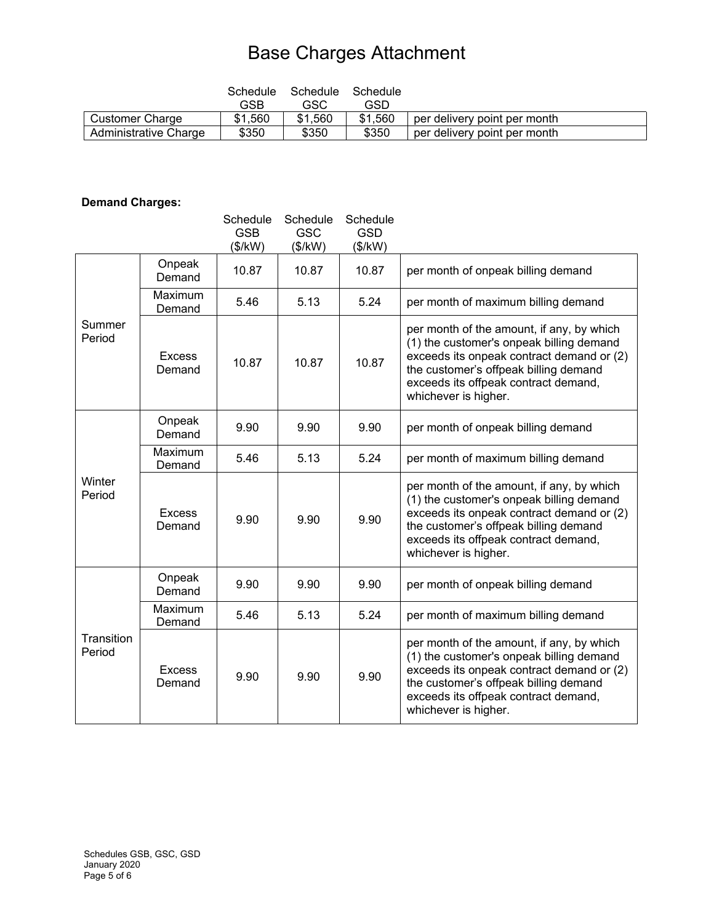# Base Charges Attachment

|                       | Schedule<br>GSB | Schedule<br>GSC | Schedule<br>GSD |                              |
|-----------------------|-----------------|-----------------|-----------------|------------------------------|
| Customer Charge       | \$1,560         | \$1,560         | \$1,560         | per delivery point per month |
| Administrative Charge | \$350           | \$350           | \$350           | per delivery point per month |

# **Demand Charges:**

|                      |                         | Schedule<br><b>GSB</b><br>(\$/kW) | Schedule<br><b>GSC</b><br>(\$/kW) | Schedule<br><b>GSD</b><br>(\$/kW) |                                                                                                                                                                                                                                             |
|----------------------|-------------------------|-----------------------------------|-----------------------------------|-----------------------------------|---------------------------------------------------------------------------------------------------------------------------------------------------------------------------------------------------------------------------------------------|
| Summer<br>Period     | Onpeak<br>Demand        | 10.87                             | 10.87                             | 10.87                             | per month of onpeak billing demand                                                                                                                                                                                                          |
|                      | Maximum<br>Demand       | 5.46                              | 5.13                              | 5.24                              | per month of maximum billing demand                                                                                                                                                                                                         |
|                      | <b>Excess</b><br>Demand | 10.87                             | 10.87                             | 10.87                             | per month of the amount, if any, by which<br>(1) the customer's onpeak billing demand<br>exceeds its onpeak contract demand or (2)<br>the customer's offpeak billing demand<br>exceeds its offpeak contract demand,<br>whichever is higher. |
| Winter<br>Period     | Onpeak<br>Demand        | 9.90                              | 9.90                              | 9.90                              | per month of onpeak billing demand                                                                                                                                                                                                          |
|                      | Maximum<br>Demand       | 5.46                              | 5.13                              | 5.24                              | per month of maximum billing demand                                                                                                                                                                                                         |
|                      | <b>Excess</b><br>Demand | 9.90                              | 9.90                              | 9.90                              | per month of the amount, if any, by which<br>(1) the customer's onpeak billing demand<br>exceeds its onpeak contract demand or (2)<br>the customer's offpeak billing demand<br>exceeds its offpeak contract demand,<br>whichever is higher. |
| Transition<br>Period | Onpeak<br>Demand        | 9.90                              | 9.90                              | 9.90                              | per month of onpeak billing demand                                                                                                                                                                                                          |
|                      | Maximum<br>Demand       | 5.46                              | 5.13                              | 5.24                              | per month of maximum billing demand                                                                                                                                                                                                         |
|                      | <b>Excess</b><br>Demand | 9.90                              | 9.90                              | 9.90                              | per month of the amount, if any, by which<br>(1) the customer's onpeak billing demand<br>exceeds its onpeak contract demand or (2)<br>the customer's offpeak billing demand<br>exceeds its offpeak contract demand,<br>whichever is higher. |